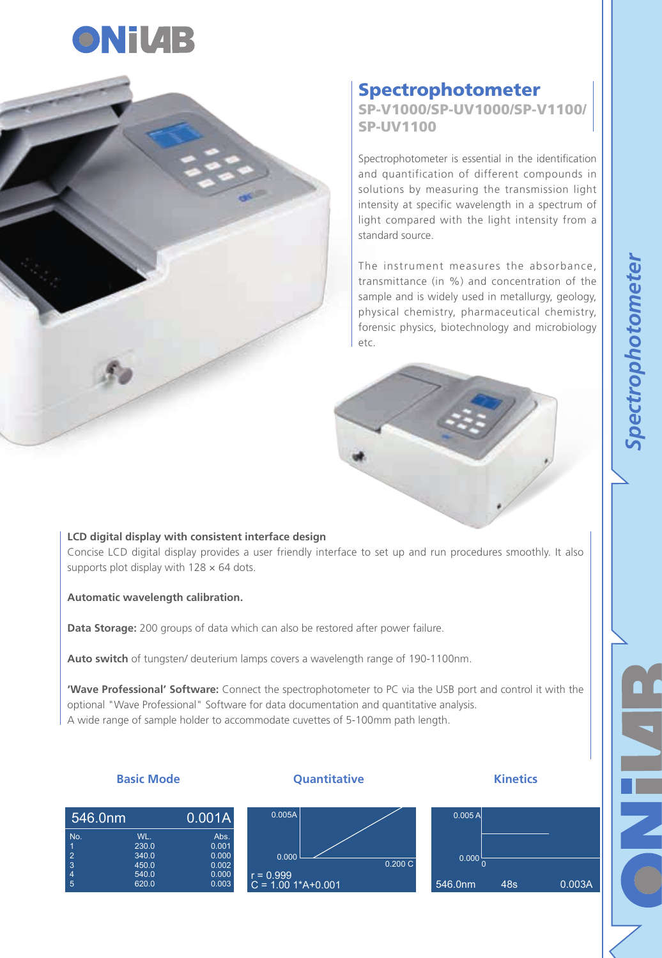



## Spectrophotometer

SP-V1000/SP-UV1000/SP-V1100/ SP-UV1100

Spectrophotometer is essential in the identification and quantification of different compounds in solutions by measuring the transmission light intensity at specific wavelength in a spectrum of light compared with the light intensity from a standard source.

The instrument measures the absorbance, transmittance (in %) and concentration of the sample and is widely used in metallurgy, geology, physical chemistry, pharmaceutical chemistry, forensic physics, biotechnology and microbiology etc.



## **LCD digital display with consistent interface design** Concise LCD digital display provides a user friendly interface to set up and run procedures smoothly. It also supports plot display with  $128 \times 64$  dots.

**Automatic wavelength calibration.**

**Data Storage:** 200 groups of data which can also be restored after power failure.

**Auto switch** of tungsten/ deuterium lamps covers a wavelength range of 190-1100nm.

**'Wave Professional' Software:** Connect the spectrophotometer to PC via the USB port and control it with the optional "Wave Professional" Software for data documentation and quantitative analysis. A wide range of sample holder to accommodate cuvettes of 5-100mm path length.